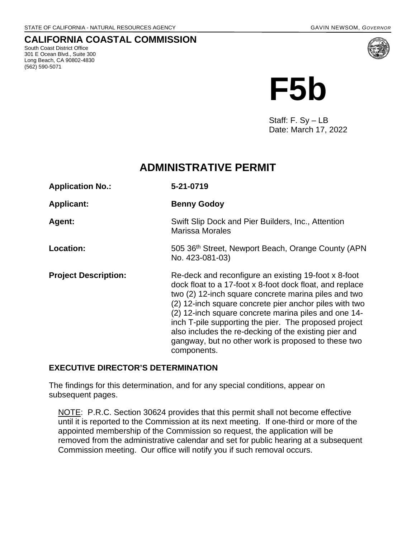## **CALIFORNIA COASTAL COMMISSION**

South Coast District Office 301 E Ocean Blvd., Suite 300 Long Beach, CA 90802-4830 (562) 590-5071



Staff: F. Sy – LB Date: March 17, 2022

# **ADMINISTRATIVE PERMIT**

| <b>Application No.:</b>     | 5-21-0719                                                                                                                                                                                                                                                                                                                                                                                                                                                                          |
|-----------------------------|------------------------------------------------------------------------------------------------------------------------------------------------------------------------------------------------------------------------------------------------------------------------------------------------------------------------------------------------------------------------------------------------------------------------------------------------------------------------------------|
| <b>Applicant:</b>           | <b>Benny Godoy</b>                                                                                                                                                                                                                                                                                                                                                                                                                                                                 |
| Agent:                      | Swift Slip Dock and Pier Builders, Inc., Attention<br><b>Marissa Morales</b>                                                                                                                                                                                                                                                                                                                                                                                                       |
| Location:                   | 505 36th Street, Newport Beach, Orange County (APN)<br>No. 423-081-03)                                                                                                                                                                                                                                                                                                                                                                                                             |
| <b>Project Description:</b> | Re-deck and reconfigure an existing 19-foot x 8-foot<br>dock float to a 17-foot x 8-foot dock float, and replace<br>two (2) 12-inch square concrete marina piles and two<br>(2) 12-inch square concrete pier anchor piles with two<br>(2) 12-inch square concrete marina piles and one 14-<br>inch T-pile supporting the pier. The proposed project<br>also includes the re-decking of the existing pier and<br>gangway, but no other work is proposed to these two<br>components. |

## **EXECUTIVE DIRECTOR'S DETERMINATION**

The findings for this determination, and for any special conditions, appear on subsequent pages.

NOTE: P.R.C. Section 30624 provides that this permit shall not become effective until it is reported to the Commission at its next meeting. If one-third or more of the appointed membership of the Commission so request, the application will be removed from the administrative calendar and set for public hearing at a subsequent Commission meeting. Our office will notify you if such removal occurs.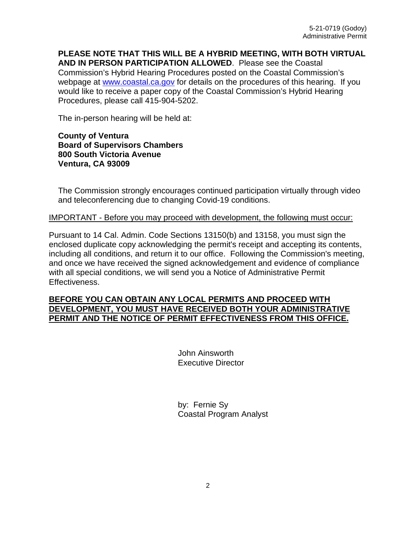**PLEASE NOTE THAT THIS WILL BE A HYBRID MEETING, WITH BOTH VIRTUAL AND IN PERSON PARTICIPATION ALLOWED**. Please see the Coastal Commission's Hybrid Hearing Procedures posted on the Coastal Commission's webpage at [www.coastal.ca.gov](http://www.coastal.ca.gov/) for details on the procedures of this hearing. If you would like to receive a paper copy of the Coastal Commission's Hybrid Hearing Procedures, please call 415-904-5202.

The in-person hearing will be held at:

**County of Ventura Board of Supervisors Chambers 800 South Victoria Avenue Ventura, CA 93009**

The Commission strongly encourages continued participation virtually through video and teleconferencing due to changing Covid-19 conditions.

#### IMPORTANT - Before you may proceed with development, the following must occur:

Pursuant to 14 Cal. Admin. Code Sections 13150(b) and 13158, you must sign the enclosed duplicate copy acknowledging the permit's receipt and accepting its contents, including all conditions, and return it to our office. Following the Commission's meeting, and once we have received the signed acknowledgement and evidence of compliance with all special conditions, we will send you a Notice of Administrative Permit Effectiveness.

#### **BEFORE YOU CAN OBTAIN ANY LOCAL PERMITS AND PROCEED WITH DEVELOPMENT, YOU MUST HAVE RECEIVED BOTH YOUR ADMINISTRATIVE PERMIT AND THE NOTICE OF PERMIT EFFECTIVENESS FROM THIS OFFICE.**

 John Ainsworth Executive Director

 by: Fernie Sy Coastal Program Analyst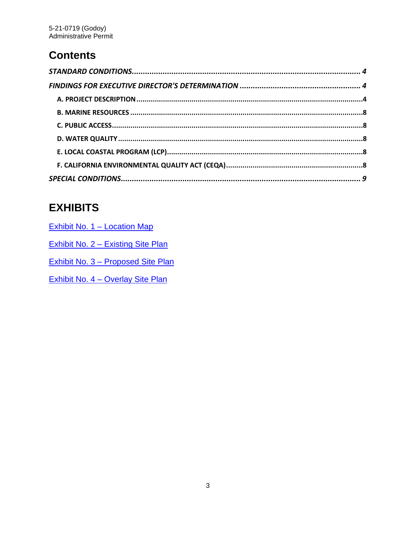# **Contents**

# **EXHIBITS**

| Exhibit No. 1 – Location Map       |
|------------------------------------|
| Exhibit No. 2 – Existing Site Plan |
| Exhibit No. 3 – Proposed Site Plan |
| Exhibit No. 4 - Overlay Site Plan  |
|                                    |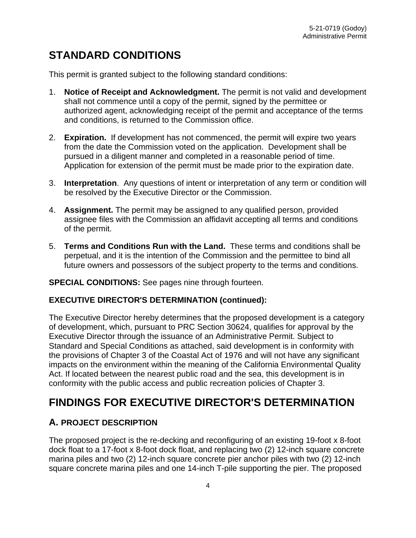# <span id="page-3-0"></span>**STANDARD CONDITIONS**

This permit is granted subject to the following standard conditions:

- 1. **Notice of Receipt and Acknowledgment.** The permit is not valid and development shall not commence until a copy of the permit, signed by the permittee or authorized agent, acknowledging receipt of the permit and acceptance of the terms and conditions, is returned to the Commission office.
- 2. **Expiration.** If development has not commenced, the permit will expire two years from the date the Commission voted on the application. Development shall be pursued in a diligent manner and completed in a reasonable period of time. Application for extension of the permit must be made prior to the expiration date.
- 3. **Interpretation**. Any questions of intent or interpretation of any term or condition will be resolved by the Executive Director or the Commission.
- 4. **Assignment.** The permit may be assigned to any qualified person, provided assignee files with the Commission an affidavit accepting all terms and conditions of the permit.
- 5. **Terms and Conditions Run with the Land.** These terms and conditions shall be perpetual, and it is the intention of the Commission and the permittee to bind all future owners and possessors of the subject property to the terms and conditions.

#### **SPECIAL CONDITIONS:** See pages nine through fourteen.

#### **EXECUTIVE DIRECTOR'S DETERMINATION (continued):**

The Executive Director hereby determines that the proposed development is a category of development, which, pursuant to PRC Section 30624, qualifies for approval by the Executive Director through the issuance of an Administrative Permit. Subject to Standard and Special Conditions as attached, said development is in conformity with the provisions of Chapter 3 of the Coastal Act of 1976 and will not have any significant impacts on the environment within the meaning of the California Environmental Quality Act. If located between the nearest public road and the sea, this development is in conformity with the public access and public recreation policies of Chapter 3.

# <span id="page-3-1"></span>**FINDINGS FOR EXECUTIVE DIRECTOR'S DETERMINATION**

# <span id="page-3-2"></span>**A. PROJECT DESCRIPTION**

The proposed project is the re-decking and reconfiguring of an existing 19-foot x 8-foot dock float to a 17-foot x 8-foot dock float, and replacing two (2) 12-inch square concrete marina piles and two (2) 12-inch square concrete pier anchor piles with two (2) 12-inch square concrete marina piles and one 14-inch T-pile supporting the pier. The proposed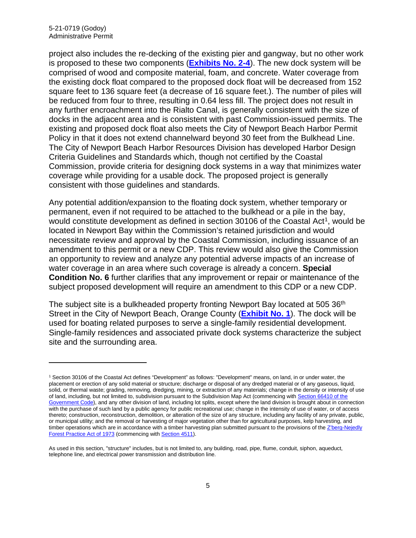project also includes the re-decking of the existing pier and gangway, but no other work is proposed to these two components (**[Exhibits No. 2-4](https://documents.coastal.ca.gov/reports/2022/4/F5b/F5b-4-2022-exhibits.pdf)**). The new dock system will be comprised of wood and composite material, foam, and concrete. Water coverage from the existing dock float compared to the proposed dock float will be decreased from 152 square feet to 136 square feet (a decrease of 16 square feet.). The number of piles will be reduced from four to three, resulting in 0.64 less fill. The project does not result in any further encroachment into the Rialto Canal, is generally consistent with the size of docks in the adjacent area and is consistent with past Commission-issued permits. The existing and proposed dock float also meets the City of Newport Beach Harbor Permit Policy in that it does not extend channelward beyond 30 feet from the Bulkhead Line. The City of Newport Beach Harbor Resources Division has developed Harbor Design Criteria Guidelines and Standards which, though not certified by the Coastal Commission, provide criteria for designing dock systems in a way that minimizes water coverage while providing for a usable dock. The proposed project is generally consistent with those guidelines and standards.

Any potential addition/expansion to the floating dock system, whether temporary or permanent, even if not required to be attached to the bulkhead or a pile in the bay, would constitute development as defined in section 30106 of the Coastal Act<sup>1</sup>, would be located in Newport Bay within the Commission's retained jurisdiction and would necessitate review and approval by the Coastal Commission, including issuance of an amendment to this permit or a new CDP. This review would also give the Commission an opportunity to review and analyze any potential adverse impacts of an increase of water coverage in an area where such coverage is already a concern. **Special Condition No. 6** further clarifies that any improvement or repair or maintenance of the subject proposed development will require an amendment to this CDP or a new CDP.

The subject site is a bulkheaded property fronting Newport Bay located at 505 36<sup>th</sup> Street in the City of Newport Beach, Orange County (**[Exhibit No. 1](https://documents.coastal.ca.gov/reports/2022/4/F5b/F5b-4-2022-exhibits.pdf)**). The dock will be used for boating related purposes to serve a single-family residential development. Single-family residences and associated private dock systems characterize the subject site and the surrounding area.

<span id="page-4-0"></span><sup>1</sup> Section 30106 of the Coastal Act defines "Development" as follows: "Development" means, on land, in or under water, the placement or erection of any solid material or structure; discharge or disposal of any dredged material or of any gaseous, liquid, solid, or thermal waste; grading, removing, dredging, mining, or extraction of any materials; change in the density or intensity of use of land, including, but not limited to, subdivision pursuant to the Subdivision Map Act (commencing with Section 66410 of the [Government Code\)](http://leginfo.legislature.ca.gov/faces/codes_displayexpandedbranch.xhtml?tocCode=GOV&division=2.&title=7.&part=&chapter=&article=), and any other division of land, including lot splits, except where the land division is brought about in connection with the purchase of such land by a public agency for public recreational use; change in the intensity of use of water, or of access thereto; construction, reconstruction, demolition, or alteration of the size of any structure, including any facility of any private, public, or municipal utility; and the removal or harvesting of major vegetation other than for agricultural purposes, kelp harvesting, and timber operations which are in accordance with a timber harvesting plan submitted pursuant to the provisions of the Z'berg-Nejedly [Forest Practice Act of 1973](http://leginfo.legislature.ca.gov/faces/codes_displayexpandedbranch.xhtml?tocCode=PRC&division=4.&title=&part=2.&chapter=8.&article=) (commencing wit[h Section 4511\)](http://leginfo.legislature.ca.gov/faces/codes_displayexpandedbranch.xhtml?tocCode=PRC&division=4.&title=&part=2.&chapter=8.&article=).

As used in this section, "structure" includes, but is not limited to, any building, road, pipe, flume, conduit, siphon, aqueduct, telephone line, and electrical power transmission and distribution line.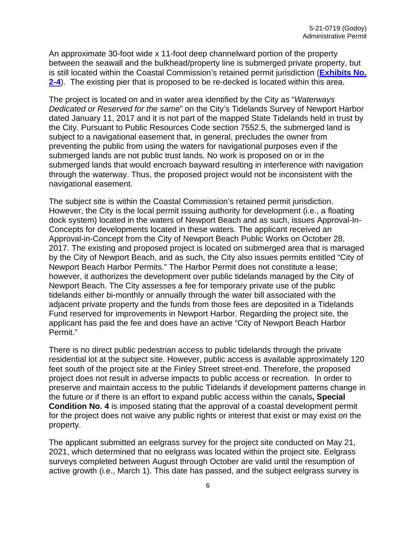An approximate 30-foot wide x 11-foot deep channelward portion of the property between the seawall and the bulkhead/property line is submerged private property, but is still located within the Coastal Commission's retained permit jurisdiction (**[Exhibits No.](https://documents.coastal.ca.gov/reports/2022/4/F5b/F5b-4-2022-exhibits.pdf)  [2-4](https://documents.coastal.ca.gov/reports/2022/4/F5b/F5b-4-2022-exhibits.pdf)**). The existing pier that is proposed to be re-decked is located within this area.

The project is located on and in water area identified by the City as "*Waterways Dedicated or Reserved for the same*" on the City's Tidelands Survey of Newport Harbor dated January 11, 2017 and it is not part of the mapped State Tidelands held in trust by the City. Pursuant to Public Resources Code section 7552.5, the submerged land is subject to a navigational easement that, in general, precludes the owner from preventing the public from using the waters for navigational purposes even if the submerged lands are not public trust lands. No work is proposed on or in the submerged lands that would encroach bayward resulting in interference with navigation through the waterway. Thus, the proposed project would not be inconsistent with the navigational easement.

The subject site is within the Coastal Commission's retained permit jurisdiction. However, the City is the local permit issuing authority for development (i.e., a floating dock system) located in the waters of Newport Beach and as such, issues Approval-In-Concepts for developments located in these waters. The applicant received an Approval-in-Concept from the City of Newport Beach Public Works on October 28, 2017. The existing and proposed project is located on submerged area that is managed by the City of Newport Beach, and as such, the City also issues permits entitled "City of Newport Beach Harbor Permits." The Harbor Permit does not constitute a lease; however, it authorizes the development over public tidelands managed by the City of Newport Beach. The City assesses a fee for temporary private use of the public tidelands either bi-monthly or annually through the water bill associated with the adjacent private property and the funds from those fees are deposited in a Tidelands Fund reserved for improvements in Newport Harbor. Regarding the project site, the applicant has paid the fee and does have an active "City of Newport Beach Harbor Permit."

There is no direct public pedestrian access to public tidelands through the private residential lot at the subject site. However, public access is available approximately 120 feet south of the project site at the Finley Street street-end. Therefore, the proposed project does not result in adverse impacts to public access or recreation. In order to preserve and maintain access to the public Tidelands if development patterns change in the future or if there is an effort to expand public access within the canals**, Special Condition No. 4** is imposed stating that the approval of a coastal development permit for the project does not waive any public rights or interest that exist or may exist on the property.

The applicant submitted an eelgrass survey for the project site conducted on May 21, 2021, which determined that no eelgrass was located within the project site. Eelgrass surveys completed between August through October are valid until the resumption of active growth (i.e., March 1). This date has passed, and the subject eelgrass survey is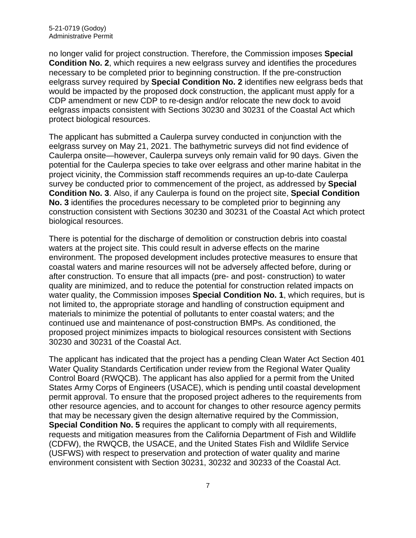no longer valid for project construction. Therefore, the Commission imposes **Special Condition No. 2**, which requires a new eelgrass survey and identifies the procedures necessary to be completed prior to beginning construction. If the pre-construction eelgrass survey required by **Special Condition No. 2** identifies new eelgrass beds that would be impacted by the proposed dock construction, the applicant must apply for a CDP amendment or new CDP to re-design and/or relocate the new dock to avoid eelgrass impacts consistent with Sections 30230 and 30231 of the Coastal Act which protect biological resources.

The applicant has submitted a Caulerpa survey conducted in conjunction with the eelgrass survey on May 21, 2021. The bathymetric surveys did not find evidence of Caulerpa onsite—however, Caulerpa surveys only remain valid for 90 days. Given the potential for the Caulerpa species to take over eelgrass and other marine habitat in the project vicinity, the Commission staff recommends requires an up-to-date Caulerpa survey be conducted prior to commencement of the project, as addressed by **Special Condition No. 3**. Also, if any Caulerpa is found on the project site, **Special Condition No. 3** identifies the procedures necessary to be completed prior to beginning any construction consistent with Sections 30230 and 30231 of the Coastal Act which protect biological resources.

There is potential for the discharge of demolition or construction debris into coastal waters at the project site. This could result in adverse effects on the marine environment. The proposed development includes protective measures to ensure that coastal waters and marine resources will not be adversely affected before, during or after construction. To ensure that all impacts (pre- and post- construction) to water quality are minimized, and to reduce the potential for construction related impacts on water quality, the Commission imposes **Special Condition No. 1**, which requires, but is not limited to, the appropriate storage and handling of construction equipment and materials to minimize the potential of pollutants to enter coastal waters; and the continued use and maintenance of post-construction BMPs. As conditioned, the proposed project minimizes impacts to biological resources consistent with Sections 30230 and 30231 of the Coastal Act.

The applicant has indicated that the project has a pending Clean Water Act Section 401 Water Quality Standards Certification under review from the Regional Water Quality Control Board (RWQCB). The applicant has also applied for a permit from the United States Army Corps of Engineers (USACE), which is pending until coastal development permit approval. To ensure that the proposed project adheres to the requirements from other resource agencies, and to account for changes to other resource agency permits that may be necessary given the design alternative required by the Commission, **Special Condition No. 5** requires the applicant to comply with all requirements, requests and mitigation measures from the California Department of Fish and Wildlife (CDFW), the RWQCB, the USACE, and the United States Fish and Wildlife Service (USFWS) with respect to preservation and protection of water quality and marine environment consistent with Section 30231, 30232 and 30233 of the Coastal Act.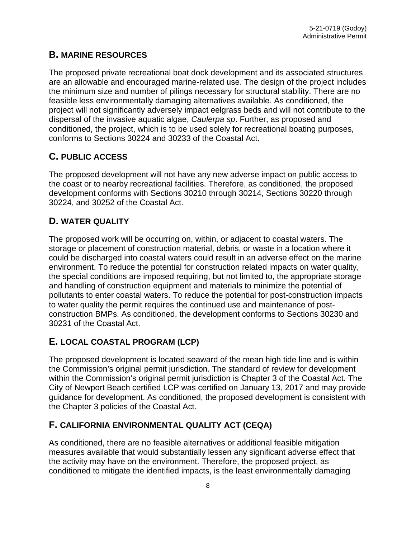## <span id="page-7-0"></span>**B. MARINE RESOURCES**

The proposed private recreational boat dock development and its associated structures are an allowable and encouraged marine-related use. The design of the project includes the minimum size and number of pilings necessary for structural stability. There are no feasible less environmentally damaging alternatives available. As conditioned, the project will not significantly adversely impact eelgrass beds and will not contribute to the dispersal of the invasive aquatic algae, *Caulerpa sp*. Further, as proposed and conditioned, the project, which is to be used solely for recreational boating purposes, conforms to Sections 30224 and 30233 of the Coastal Act.

# <span id="page-7-1"></span>**C. PUBLIC ACCESS**

The proposed development will not have any new adverse impact on public access to the coast or to nearby recreational facilities. Therefore, as conditioned, the proposed development conforms with Sections 30210 through 30214, Sections 30220 through 30224, and 30252 of the Coastal Act.

# <span id="page-7-2"></span>**D. WATER QUALITY**

The proposed work will be occurring on, within, or adjacent to coastal waters. The storage or placement of construction material, debris, or waste in a location where it could be discharged into coastal waters could result in an adverse effect on the marine environment. To reduce the potential for construction related impacts on water quality, the special conditions are imposed requiring, but not limited to, the appropriate storage and handling of construction equipment and materials to minimize the potential of pollutants to enter coastal waters. To reduce the potential for post-construction impacts to water quality the permit requires the continued use and maintenance of postconstruction BMPs. As conditioned, the development conforms to Sections 30230 and 30231 of the Coastal Act.

# <span id="page-7-3"></span>**E. LOCAL COASTAL PROGRAM (LCP)**

The proposed development is located seaward of the mean high tide line and is within the Commission's original permit jurisdiction. The standard of review for development within the Commission's original permit jurisdiction is Chapter 3 of the Coastal Act. The City of Newport Beach certified LCP was certified on January 13, 2017 and may provide guidance for development. As conditioned, the proposed development is consistent with the Chapter 3 policies of the Coastal Act.

# <span id="page-7-4"></span>**F. CALIFORNIA ENVIRONMENTAL QUALITY ACT (CEQA)**

As conditioned, there are no feasible alternatives or additional feasible mitigation measures available that would substantially lessen any significant adverse effect that the activity may have on the environment. Therefore, the proposed project, as conditioned to mitigate the identified impacts, is the least environmentally damaging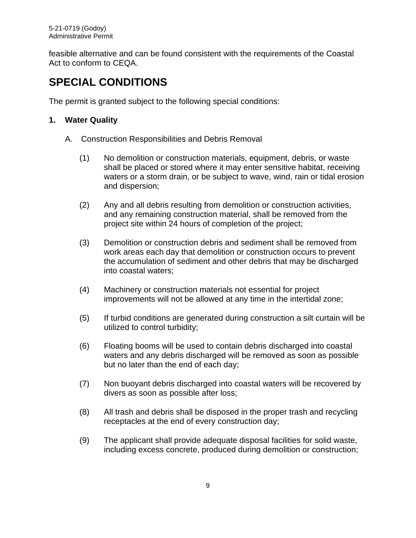feasible alternative and can be found consistent with the requirements of the Coastal Act to conform to CEQA.

# <span id="page-8-0"></span>**SPECIAL CONDITIONS**

The permit is granted subject to the following special conditions:

## **1. Water Quality**

- A. Construction Responsibilities and Debris Removal
	- (1) No demolition or construction materials, equipment, debris, or waste shall be placed or stored where it may enter sensitive habitat, receiving waters or a storm drain, or be subject to wave, wind, rain or tidal erosion and dispersion;
	- (2) Any and all debris resulting from demolition or construction activities, and any remaining construction material, shall be removed from the project site within 24 hours of completion of the project;
	- (3) Demolition or construction debris and sediment shall be removed from work areas each day that demolition or construction occurs to prevent the accumulation of sediment and other debris that may be discharged into coastal waters;
	- (4) Machinery or construction materials not essential for project improvements will not be allowed at any time in the intertidal zone;
	- (5) If turbid conditions are generated during construction a silt curtain will be utilized to control turbidity;
	- (6) Floating booms will be used to contain debris discharged into coastal waters and any debris discharged will be removed as soon as possible but no later than the end of each day;
	- (7) Non buoyant debris discharged into coastal waters will be recovered by divers as soon as possible after loss;
	- (8) All trash and debris shall be disposed in the proper trash and recycling receptacles at the end of every construction day;
	- (9) The applicant shall provide adequate disposal facilities for solid waste, including excess concrete, produced during demolition or construction;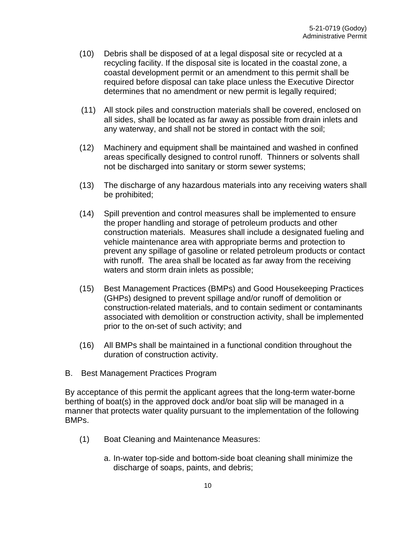- (10) Debris shall be disposed of at a legal disposal site or recycled at a recycling facility. If the disposal site is located in the coastal zone, a coastal development permit or an amendment to this permit shall be required before disposal can take place unless the Executive Director determines that no amendment or new permit is legally required;
- (11) All stock piles and construction materials shall be covered, enclosed on all sides, shall be located as far away as possible from drain inlets and any waterway, and shall not be stored in contact with the soil;
- (12) Machinery and equipment shall be maintained and washed in confined areas specifically designed to control runoff. Thinners or solvents shall not be discharged into sanitary or storm sewer systems;
- (13) The discharge of any hazardous materials into any receiving waters shall be prohibited;
- (14) Spill prevention and control measures shall be implemented to ensure the proper handling and storage of petroleum products and other construction materials. Measures shall include a designated fueling and vehicle maintenance area with appropriate berms and protection to prevent any spillage of gasoline or related petroleum products or contact with runoff. The area shall be located as far away from the receiving waters and storm drain inlets as possible;
- (15) Best Management Practices (BMPs) and Good Housekeeping Practices (GHPs) designed to prevent spillage and/or runoff of demolition or construction-related materials, and to contain sediment or contaminants associated with demolition or construction activity, shall be implemented prior to the on-set of such activity; and
- (16) All BMPs shall be maintained in a functional condition throughout the duration of construction activity.
- B. Best Management Practices Program

By acceptance of this permit the applicant agrees that the long-term water-borne berthing of boat(s) in the approved dock and/or boat slip will be managed in a manner that protects water quality pursuant to the implementation of the following BMPs.

- (1) Boat Cleaning and Maintenance Measures:
	- a. In-water top-side and bottom-side boat cleaning shall minimize the discharge of soaps, paints, and debris;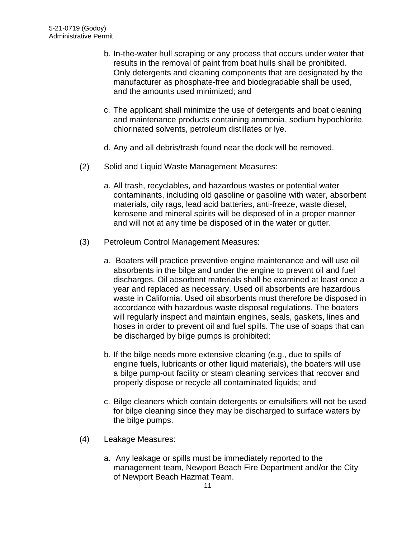- b. In-the-water hull scraping or any process that occurs under water that results in the removal of paint from boat hulls shall be prohibited. Only detergents and cleaning components that are designated by the manufacturer as phosphate-free and biodegradable shall be used, and the amounts used minimized; and
- c. The applicant shall minimize the use of detergents and boat cleaning and maintenance products containing ammonia, sodium hypochlorite, chlorinated solvents, petroleum distillates or lye.
- d. Any and all debris/trash found near the dock will be removed.
- (2) Solid and Liquid Waste Management Measures:
	- a. All trash, recyclables, and hazardous wastes or potential water contaminants, including old gasoline or gasoline with water, absorbent materials, oily rags, lead acid batteries, anti-freeze, waste diesel, kerosene and mineral spirits will be disposed of in a proper manner and will not at any time be disposed of in the water or gutter.
- (3) Petroleum Control Management Measures:
	- a. Boaters will practice preventive engine maintenance and will use oil absorbents in the bilge and under the engine to prevent oil and fuel discharges. Oil absorbent materials shall be examined at least once a year and replaced as necessary. Used oil absorbents are hazardous waste in California. Used oil absorbents must therefore be disposed in accordance with hazardous waste disposal regulations. The boaters will regularly inspect and maintain engines, seals, gaskets, lines and hoses in order to prevent oil and fuel spills. The use of soaps that can be discharged by bilge pumps is prohibited;
	- b. If the bilge needs more extensive cleaning (e.g., due to spills of engine fuels, lubricants or other liquid materials), the boaters will use a bilge pump-out facility or steam cleaning services that recover and properly dispose or recycle all contaminated liquids; and
	- c. Bilge cleaners which contain detergents or emulsifiers will not be used for bilge cleaning since they may be discharged to surface waters by the bilge pumps.
- (4) Leakage Measures:
	- a. Any leakage or spills must be immediately reported to the management team, Newport Beach Fire Department and/or the City of Newport Beach Hazmat Team.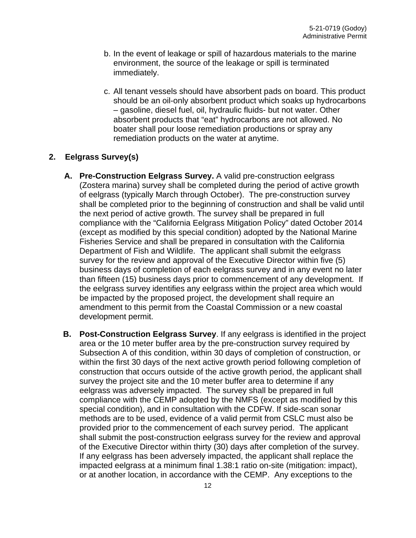- b. In the event of leakage or spill of hazardous materials to the marine environment, the source of the leakage or spill is terminated immediately.
- c. All tenant vessels should have absorbent pads on board. This product should be an oil-only absorbent product which soaks up hydrocarbons – gasoline, diesel fuel, oil, hydraulic fluids- but not water. Other absorbent products that "eat" hydrocarbons are not allowed. No boater shall pour loose remediation productions or spray any remediation products on the water at anytime.

#### **2. Eelgrass Survey(s)**

- **A. Pre-Construction Eelgrass Survey.** A valid pre-construction eelgrass (Zostera marina) survey shall be completed during the period of active growth of eelgrass (typically March through October). The pre-construction survey shall be completed prior to the beginning of construction and shall be valid until the next period of active growth. The survey shall be prepared in full compliance with the "California Eelgrass Mitigation Policy" dated October 2014 (except as modified by this special condition) adopted by the National Marine Fisheries Service and shall be prepared in consultation with the California Department of Fish and Wildlife. The applicant shall submit the eelgrass survey for the review and approval of the Executive Director within five (5) business days of completion of each eelgrass survey and in any event no later than fifteen (15) business days prior to commencement of any development. If the eelgrass survey identifies any eelgrass within the project area which would be impacted by the proposed project, the development shall require an amendment to this permit from the Coastal Commission or a new coastal development permit.
- **B. Post-Construction Eelgrass Survey**. If any eelgrass is identified in the project area or the 10 meter buffer area by the pre-construction survey required by Subsection A of this condition, within 30 days of completion of construction, or within the first 30 days of the next active growth period following completion of construction that occurs outside of the active growth period, the applicant shall survey the project site and the 10 meter buffer area to determine if any eelgrass was adversely impacted. The survey shall be prepared in full compliance with the CEMP adopted by the NMFS (except as modified by this special condition), and in consultation with the CDFW. If side-scan sonar methods are to be used, evidence of a valid permit from CSLC must also be provided prior to the commencement of each survey period. The applicant shall submit the post-construction eelgrass survey for the review and approval of the Executive Director within thirty (30) days after completion of the survey. If any eelgrass has been adversely impacted, the applicant shall replace the impacted eelgrass at a minimum final 1.38:1 ratio on-site (mitigation: impact), or at another location, in accordance with the CEMP. Any exceptions to the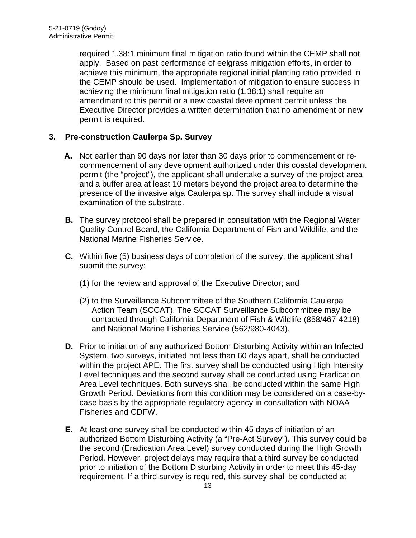required 1.38:1 minimum final mitigation ratio found within the CEMP shall not apply. Based on past performance of eelgrass mitigation efforts, in order to achieve this minimum, the appropriate regional initial planting ratio provided in the CEMP should be used. Implementation of mitigation to ensure success in achieving the minimum final mitigation ratio (1.38:1) shall require an amendment to this permit or a new coastal development permit unless the Executive Director provides a written determination that no amendment or new permit is required.

#### **3. Pre-construction Caulerpa Sp. Survey**

- **A.** Not earlier than 90 days nor later than 30 days prior to commencement or recommencement of any development authorized under this coastal development permit (the "project"), the applicant shall undertake a survey of the project area and a buffer area at least 10 meters beyond the project area to determine the presence of the invasive alga Caulerpa sp. The survey shall include a visual examination of the substrate.
- **B.** The survey protocol shall be prepared in consultation with the Regional Water Quality Control Board, the California Department of Fish and Wildlife, and the National Marine Fisheries Service.
- **C.** Within five (5) business days of completion of the survey, the applicant shall submit the survey:
	- (1) for the review and approval of the Executive Director; and
	- (2) to the Surveillance Subcommittee of the Southern California Caulerpa Action Team (SCCAT). The SCCAT Surveillance Subcommittee may be contacted through California Department of Fish & Wildlife (858/467-4218) and National Marine Fisheries Service (562/980-4043).
- **D.** Prior to initiation of any authorized Bottom Disturbing Activity within an Infected System, two surveys, initiated not less than 60 days apart, shall be conducted within the project APE. The first survey shall be conducted using High Intensity Level techniques and the second survey shall be conducted using Eradication Area Level techniques. Both surveys shall be conducted within the same High Growth Period. Deviations from this condition may be considered on a case-bycase basis by the appropriate regulatory agency in consultation with NOAA Fisheries and CDFW.
- **E.** At least one survey shall be conducted within 45 days of initiation of an authorized Bottom Disturbing Activity (a "Pre-Act Survey"). This survey could be the second (Eradication Area Level) survey conducted during the High Growth Period. However, project delays may require that a third survey be conducted prior to initiation of the Bottom Disturbing Activity in order to meet this 45-day requirement. If a third survey is required, this survey shall be conducted at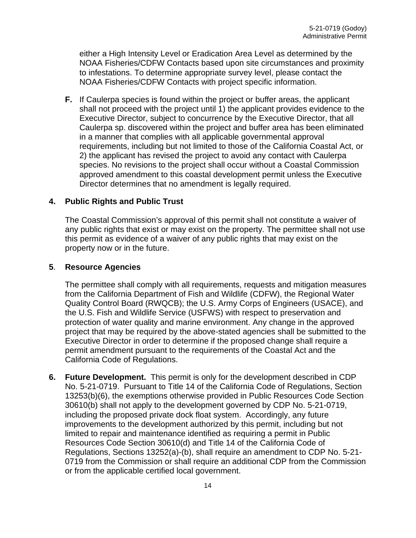either a High Intensity Level or Eradication Area Level as determined by the NOAA Fisheries/CDFW Contacts based upon site circumstances and proximity to infestations. To determine appropriate survey level, please contact the NOAA Fisheries/CDFW Contacts with project specific information.

**F.** If Caulerpa species is found within the project or buffer areas, the applicant shall not proceed with the project until 1) the applicant provides evidence to the Executive Director, subject to concurrence by the Executive Director, that all Caulerpa sp. discovered within the project and buffer area has been eliminated in a manner that complies with all applicable governmental approval requirements, including but not limited to those of the California Coastal Act, or 2) the applicant has revised the project to avoid any contact with Caulerpa species. No revisions to the project shall occur without a Coastal Commission approved amendment to this coastal development permit unless the Executive Director determines that no amendment is legally required.

#### **4. Public Rights and Public Trust**

The Coastal Commission's approval of this permit shall not constitute a waiver of any public rights that exist or may exist on the property. The permittee shall not use this permit as evidence of a waiver of any public rights that may exist on the property now or in the future.

#### **5**. **Resource Agencies**

The permittee shall comply with all requirements, requests and mitigation measures from the California Department of Fish and Wildlife (CDFW), the Regional Water Quality Control Board (RWQCB); the U.S. Army Corps of Engineers (USACE), and the U.S. Fish and Wildlife Service (USFWS) with respect to preservation and protection of water quality and marine environment. Any change in the approved project that may be required by the above-stated agencies shall be submitted to the Executive Director in order to determine if the proposed change shall require a permit amendment pursuant to the requirements of the Coastal Act and the California Code of Regulations.

**6. Future Development.** This permit is only for the development described in CDP No. 5-21-0719. Pursuant to Title 14 of the California Code of Regulations, Section 13253(b)(6), the exemptions otherwise provided in Public Resources Code Section 30610(b) shall not apply to the development governed by CDP No. 5-21-0719, including the proposed private dock float system. Accordingly, any future improvements to the development authorized by this permit, including but not limited to repair and maintenance identified as requiring a permit in Public Resources Code Section 30610(d) and Title 14 of the California Code of Regulations, Sections 13252(a)-(b), shall require an amendment to CDP No. 5-21- 0719 from the Commission or shall require an additional CDP from the Commission or from the applicable certified local government.